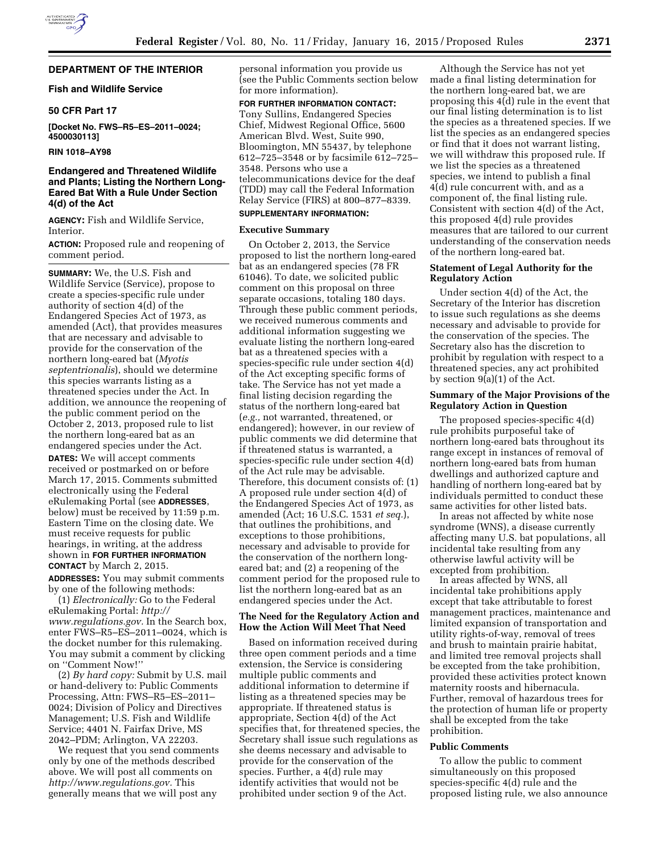# **DEPARTMENT OF THE INTERIOR**

### **Fish and Wildlife Service**

### **50 CFR Part 17**

**[Docket No. FWS–R5–ES–2011–0024; 4500030113]** 

**RIN 1018–AY98** 

# **Endangered and Threatened Wildlife and Plants; Listing the Northern Long-Eared Bat With a Rule Under Section 4(d) of the Act**

**AGENCY:** Fish and Wildlife Service, Interior.

**ACTION:** Proposed rule and reopening of comment period.

**SUMMARY:** We, the U.S. Fish and Wildlife Service (Service), propose to create a species-specific rule under authority of section 4(d) of the Endangered Species Act of 1973, as amended (Act), that provides measures that are necessary and advisable to provide for the conservation of the northern long-eared bat (*Myotis septentrionalis*), should we determine this species warrants listing as a threatened species under the Act. In addition, we announce the reopening of the public comment period on the October 2, 2013, proposed rule to list the northern long-eared bat as an endangered species under the Act.

**DATES:** We will accept comments received or postmarked on or before March 17, 2015. Comments submitted electronically using the Federal eRulemaking Portal (see **ADDRESSES**, below) must be received by 11:59 p.m. Eastern Time on the closing date. We must receive requests for public hearings, in writing, at the address shown in **FOR FURTHER INFORMATION CONTACT** by March 2, 2015.

**ADDRESSES:** You may submit comments by one of the following methods:

(1) *Electronically:* Go to the Federal eRulemaking Portal: *[http://](http://www.regulations.gov) [www.regulations.gov.](http://www.regulations.gov)* In the Search box, enter FWS–R5–ES–2011–0024, which is the docket number for this rulemaking. You may submit a comment by clicking on ''Comment Now!''

(2) *By hard copy:* Submit by U.S. mail or hand-delivery to: Public Comments Processing, Attn: FWS–R5–ES–2011– 0024; Division of Policy and Directives Management; U.S. Fish and Wildlife Service; 4401 N. Fairfax Drive, MS 2042–PDM; Arlington, VA 22203.

We request that you send comments only by one of the methods described above. We will post all comments on *[http://www.regulations.gov.](http://www.regulations.gov)* This generally means that we will post any

personal information you provide us (see the Public Comments section below for more information).

**FOR FURTHER INFORMATION CONTACT:**  Tony Sullins, Endangered Species Chief, Midwest Regional Office, 5600 American Blvd. West, Suite 990, Bloomington, MN 55437, by telephone 612–725–3548 or by facsimile 612–725– 3548. Persons who use a telecommunications device for the deaf (TDD) may call the Federal Information Relay Service (FIRS) at 800–877–8339.

# **SUPPLEMENTARY INFORMATION:**

# **Executive Summary**

On October 2, 2013, the Service proposed to list the northern long-eared bat as an endangered species (78 FR 61046). To date, we solicited public comment on this proposal on three separate occasions, totaling 180 days. Through these public comment periods, we received numerous comments and additional information suggesting we evaluate listing the northern long-eared bat as a threatened species with a species-specific rule under section 4(d) of the Act excepting specific forms of take. The Service has not yet made a final listing decision regarding the status of the northern long-eared bat (*e.g.,* not warranted, threatened, or endangered); however, in our review of public comments we did determine that if threatened status is warranted, a species-specific rule under section 4(d) of the Act rule may be advisable. Therefore, this document consists of: (1) A proposed rule under section 4(d) of the Endangered Species Act of 1973, as amended (Act; 16 U.S.C. 1531 *et seq.*), that outlines the prohibitions, and exceptions to those prohibitions, necessary and advisable to provide for the conservation of the northern longeared bat; and (2) a reopening of the comment period for the proposed rule to list the northern long-eared bat as an endangered species under the Act.

### **The Need for the Regulatory Action and How the Action Will Meet That Need**

Based on information received during three open comment periods and a time extension, the Service is considering multiple public comments and additional information to determine if listing as a threatened species may be appropriate. If threatened status is appropriate, Section 4(d) of the Act specifies that, for threatened species, the Secretary shall issue such regulations as she deems necessary and advisable to provide for the conservation of the species. Further, a 4(d) rule may identify activities that would not be prohibited under section 9 of the Act.

Although the Service has not yet made a final listing determination for the northern long-eared bat, we are proposing this 4(d) rule in the event that our final listing determination is to list the species as a threatened species. If we list the species as an endangered species or find that it does not warrant listing, we will withdraw this proposed rule. If we list the species as a threatened species, we intend to publish a final 4(d) rule concurrent with, and as a component of, the final listing rule. Consistent with section 4(d) of the Act, this proposed 4(d) rule provides measures that are tailored to our current understanding of the conservation needs of the northern long-eared bat.

### **Statement of Legal Authority for the Regulatory Action**

Under section 4(d) of the Act, the Secretary of the Interior has discretion to issue such regulations as she deems necessary and advisable to provide for the conservation of the species. The Secretary also has the discretion to prohibit by regulation with respect to a threatened species, any act prohibited by section 9(a)(1) of the Act.

### **Summary of the Major Provisions of the Regulatory Action in Question**

The proposed species-specific 4(d) rule prohibits purposeful take of northern long-eared bats throughout its range except in instances of removal of northern long-eared bats from human dwellings and authorized capture and handling of northern long-eared bat by individuals permitted to conduct these same activities for other listed bats.

In areas not affected by white nose syndrome (WNS), a disease currently affecting many U.S. bat populations, all incidental take resulting from any otherwise lawful activity will be excepted from prohibition.

In areas affected by WNS, all incidental take prohibitions apply except that take attributable to forest management practices, maintenance and limited expansion of transportation and utility rights-of-way, removal of trees and brush to maintain prairie habitat, and limited tree removal projects shall be excepted from the take prohibition, provided these activities protect known maternity roosts and hibernacula. Further, removal of hazardous trees for the protection of human life or property shall be excepted from the take prohibition.

#### **Public Comments**

To allow the public to comment simultaneously on this proposed species-specific 4(d) rule and the proposed listing rule, we also announce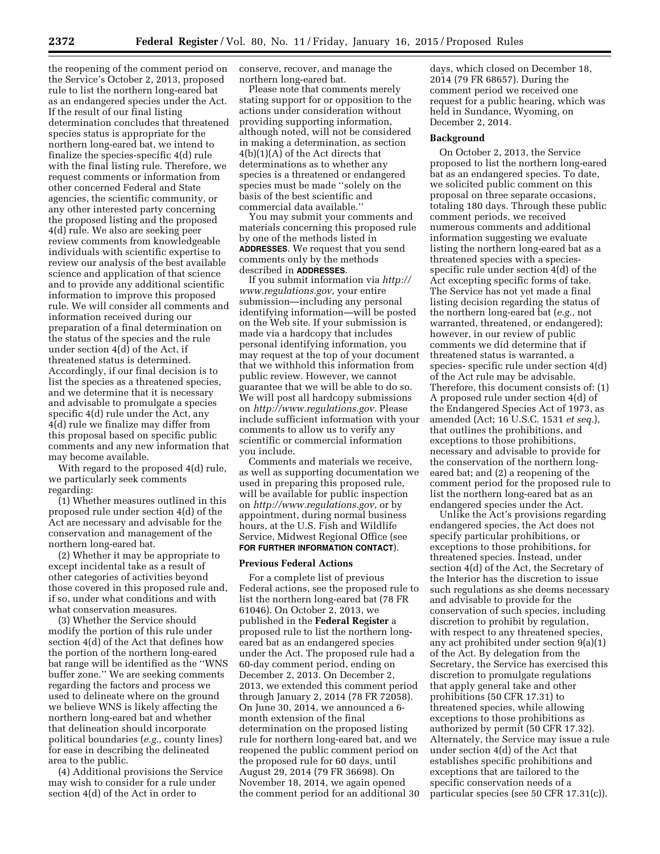the reopening of the comment period on the Service's October 2, 2013, proposed rule to list the northern long-eared bat as an endangered species under the Act. If the result of our final listing determination concludes that threatened species status is appropriate for the northern long-eared bat, we intend to finalize the species-specific 4(d) rule with the final listing rule. Therefore, we request comments or information from other concerned Federal and State agencies, the scientific community, or any other interested party concerning the proposed listing and the proposed 4(d) rule. We also are seeking peer review comments from knowledgeable individuals with scientific expertise to review our analysis of the best available science and application of that science and to provide any additional scientific information to improve this proposed rule. We will consider all comments and information received during our preparation of a final determination on the status of the species and the rule under section 4(d) of the Act, if threatened status is determined. Accordingly, if our final decision is to list the species as a threatened species, and we determine that it is necessary and advisable to promulgate a species specific 4(d) rule under the Act, any 4(d) rule we finalize may differ from this proposal based on specific public comments and any new information that may become available.

With regard to the proposed 4(d) rule, we particularly seek comments regarding:

(1) Whether measures outlined in this proposed rule under section 4(d) of the Act are necessary and advisable for the conservation and management of the northern long-eared bat.

(2) Whether it may be appropriate to except incidental take as a result of other categories of activities beyond those covered in this proposed rule and, if so, under what conditions and with what conservation measures.

(3) Whether the Service should modify the portion of this rule under section 4(d) of the Act that defines how the portion of the northern long-eared bat range will be identified as the ''WNS buffer zone.'' We are seeking comments regarding the factors and process we used to delineate where on the ground we believe WNS is likely affecting the northern long-eared bat and whether that delineation should incorporate political boundaries (*e.g.,* county lines) for ease in describing the delineated area to the public.

(4) Additional provisions the Service may wish to consider for a rule under section 4(d) of the Act in order to

conserve, recover, and manage the northern long-eared bat.

Please note that comments merely stating support for or opposition to the actions under consideration without providing supporting information, although noted, will not be considered in making a determination, as section 4(b)(1)(A) of the Act directs that determinations as to whether any species is a threatened or endangered species must be made ''solely on the basis of the best scientific and commercial data available.''

You may submit your comments and materials concerning this proposed rule by one of the methods listed in **ADDRESSES**. We request that you send comments only by the methods described in **ADDRESSES**.

If you submit information via *[http://](http://www.regulations.gov) [www.regulations.gov,](http://www.regulations.gov)* your entire submission—including any personal identifying information—will be posted on the Web site. If your submission is made via a hardcopy that includes personal identifying information, you may request at the top of your document that we withhold this information from public review. However, we cannot guarantee that we will be able to do so. We will post all hardcopy submissions on *[http://www.regulations.gov.](http://www.regulations.gov)* Please include sufficient information with your comments to allow us to verify any scientific or commercial information you include.

Comments and materials we receive, as well as supporting documentation we used in preparing this proposed rule, will be available for public inspection on *[http://www.regulations.gov,](http://www.regulations.gov)* or by appointment, during normal business hours, at the U.S. Fish and Wildlife Service, Midwest Regional Office (see **FOR FURTHER INFORMATION CONTACT**).

#### **Previous Federal Actions**

For a complete list of previous Federal actions, see the proposed rule to list the northern long-eared bat (78 FR 61046). On October 2, 2013, we published in the **Federal Register** a proposed rule to list the northern longeared bat as an endangered species under the Act. The proposed rule had a 60-day comment period, ending on December 2, 2013. On December 2, 2013, we extended this comment period through January 2, 2014 (78 FR 72058). On June 30, 2014, we announced a 6 month extension of the final determination on the proposed listing rule for northern long-eared bat, and we reopened the public comment period on the proposed rule for 60 days, until August 29, 2014 (79 FR 36698). On November 18, 2014, we again opened the comment period for an additional 30

days, which closed on December 18, 2014 (79 FR 68657). During the comment period we received one request for a public hearing, which was held in Sundance, Wyoming, on December 2, 2014.

#### **Background**

On October 2, 2013, the Service proposed to list the northern long-eared bat as an endangered species. To date, we solicited public comment on this proposal on three separate occasions, totaling 180 days. Through these public comment periods, we received numerous comments and additional information suggesting we evaluate listing the northern long-eared bat as a threatened species with a speciesspecific rule under section 4(d) of the Act excepting specific forms of take. The Service has not yet made a final listing decision regarding the status of the northern long-eared bat (*e.g.,* not warranted, threatened, or endangered); however, in our review of public comments we did determine that if threatened status is warranted, a species- specific rule under section 4(d) of the Act rule may be advisable. Therefore, this document consists of: (1) A proposed rule under section 4(d) of the Endangered Species Act of 1973, as amended (Act; 16 U.S.C. 1531 *et seq.*), that outlines the prohibitions, and exceptions to those prohibitions, necessary and advisable to provide for the conservation of the northern longeared bat; and (2) a reopening of the comment period for the proposed rule to list the northern long-eared bat as an endangered species under the Act.

Unlike the Act's provisions regarding endangered species, the Act does not specify particular prohibitions, or exceptions to those prohibitions, for threatened species. Instead, under section 4(d) of the Act, the Secretary of the Interior has the discretion to issue such regulations as she deems necessary and advisable to provide for the conservation of such species, including discretion to prohibit by regulation, with respect to any threatened species, any act prohibited under section 9(a)(1) of the Act. By delegation from the Secretary, the Service has exercised this discretion to promulgate regulations that apply general take and other prohibitions (50 CFR 17.31) to threatened species, while allowing exceptions to those prohibitions as authorized by permit (50 CFR 17.32). Alternately, the Service may issue a rule under section 4(d) of the Act that establishes specific prohibitions and exceptions that are tailored to the specific conservation needs of a particular species (see 50 CFR 17.31(c)).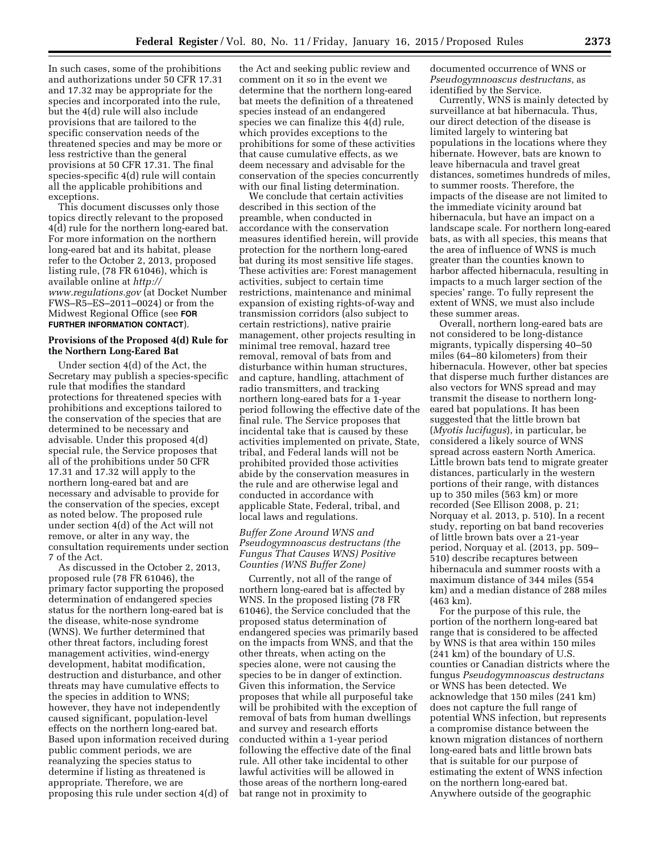In such cases, some of the prohibitions and authorizations under 50 CFR 17.31 and 17.32 may be appropriate for the species and incorporated into the rule, but the 4(d) rule will also include provisions that are tailored to the specific conservation needs of the threatened species and may be more or less restrictive than the general provisions at 50 CFR 17.31. The final species-specific 4(d) rule will contain all the applicable prohibitions and exceptions.

This document discusses only those topics directly relevant to the proposed 4(d) rule for the northern long-eared bat. For more information on the northern long-eared bat and its habitat, please refer to the October 2, 2013, proposed listing rule, (78 FR 61046), which is available online at *[http://](http://www.regulations.gov) [www.regulations.gov](http://www.regulations.gov)* (at Docket Number FWS–R5–ES–2011–0024) or from the Midwest Regional Office (see **FOR FURTHER INFORMATION CONTACT**).

### **Provisions of the Proposed 4(d) Rule for the Northern Long-Eared Bat**

Under section 4(d) of the Act, the Secretary may publish a species-specific rule that modifies the standard protections for threatened species with prohibitions and exceptions tailored to the conservation of the species that are determined to be necessary and advisable. Under this proposed 4(d) special rule, the Service proposes that all of the prohibitions under 50 CFR 17.31 and 17.32 will apply to the northern long-eared bat and are necessary and advisable to provide for the conservation of the species, except as noted below. The proposed rule under section 4(d) of the Act will not remove, or alter in any way, the consultation requirements under section 7 of the Act.

As discussed in the October 2, 2013, proposed rule (78 FR 61046), the primary factor supporting the proposed determination of endangered species status for the northern long-eared bat is the disease, white-nose syndrome (WNS). We further determined that other threat factors, including forest management activities, wind-energy development, habitat modification, destruction and disturbance, and other threats may have cumulative effects to the species in addition to WNS; however, they have not independently caused significant, population-level effects on the northern long-eared bat. Based upon information received during public comment periods, we are reanalyzing the species status to determine if listing as threatened is appropriate. Therefore, we are proposing this rule under section 4(d) of the Act and seeking public review and comment on it so in the event we determine that the northern long-eared bat meets the definition of a threatened species instead of an endangered species we can finalize this 4(d) rule, which provides exceptions to the prohibitions for some of these activities that cause cumulative effects, as we deem necessary and advisable for the conservation of the species concurrently with our final listing determination.

We conclude that certain activities described in this section of the preamble, when conducted in accordance with the conservation measures identified herein, will provide protection for the northern long-eared bat during its most sensitive life stages. These activities are: Forest management activities, subject to certain time restrictions, maintenance and minimal expansion of existing rights-of-way and transmission corridors (also subject to certain restrictions), native prairie management, other projects resulting in minimal tree removal, hazard tree removal, removal of bats from and disturbance within human structures, and capture, handling, attachment of radio transmitters, and tracking northern long-eared bats for a 1-year period following the effective date of the final rule. The Service proposes that incidental take that is caused by these activities implemented on private, State, tribal, and Federal lands will not be prohibited provided those activities abide by the conservation measures in the rule and are otherwise legal and conducted in accordance with applicable State, Federal, tribal, and local laws and regulations.

# *Buffer Zone Around WNS and Pseudogymnoascus destructans (the Fungus That Causes WNS) Positive Counties (WNS Buffer Zone)*

Currently, not all of the range of northern long-eared bat is affected by WNS. In the proposed listing (78 FR 61046), the Service concluded that the proposed status determination of endangered species was primarily based on the impacts from WNS, and that the other threats, when acting on the species alone, were not causing the species to be in danger of extinction. Given this information, the Service proposes that while all purposeful take will be prohibited with the exception of removal of bats from human dwellings and survey and research efforts conducted within a 1-year period following the effective date of the final rule. All other take incidental to other lawful activities will be allowed in those areas of the northern long-eared bat range not in proximity to

documented occurrence of WNS or *Pseudogymnoascus destructans,* as identified by the Service.

Currently, WNS is mainly detected by surveillance at bat hibernacula. Thus, our direct detection of the disease is limited largely to wintering bat populations in the locations where they hibernate. However, bats are known to leave hibernacula and travel great distances, sometimes hundreds of miles, to summer roosts. Therefore, the impacts of the disease are not limited to the immediate vicinity around bat hibernacula, but have an impact on a landscape scale. For northern long-eared bats, as with all species, this means that the area of influence of WNS is much greater than the counties known to harbor affected hibernacula, resulting in impacts to a much larger section of the species' range. To fully represent the extent of WNS, we must also include these summer areas.

Overall, northern long-eared bats are not considered to be long-distance migrants, typically dispersing 40–50 miles (64–80 kilometers) from their hibernacula. However, other bat species that disperse much further distances are also vectors for WNS spread and may transmit the disease to northern longeared bat populations. It has been suggested that the little brown bat (*Myotis lucifugus*), in particular, be considered a likely source of WNS spread across eastern North America. Little brown bats tend to migrate greater distances, particularly in the western portions of their range, with distances up to 350 miles (563 km) or more recorded (See Ellison 2008, p. 21; Norquay et al. 2013, p. 510). In a recent study, reporting on bat band recoveries of little brown bats over a 21-year period, Norquay et al. (2013, pp. 509– 510) describe recaptures between hibernacula and summer roosts with a maximum distance of 344 miles (554 km) and a median distance of 288 miles (463 km).

For the purpose of this rule, the portion of the northern long-eared bat range that is considered to be affected by WNS is that area within 150 miles (241 km) of the boundary of U.S. counties or Canadian districts where the fungus *Pseudogymnoascus destructans*  or WNS has been detected. We acknowledge that 150 miles (241 km) does not capture the full range of potential WNS infection, but represents a compromise distance between the known migration distances of northern long-eared bats and little brown bats that is suitable for our purpose of estimating the extent of WNS infection on the northern long-eared bat. Anywhere outside of the geographic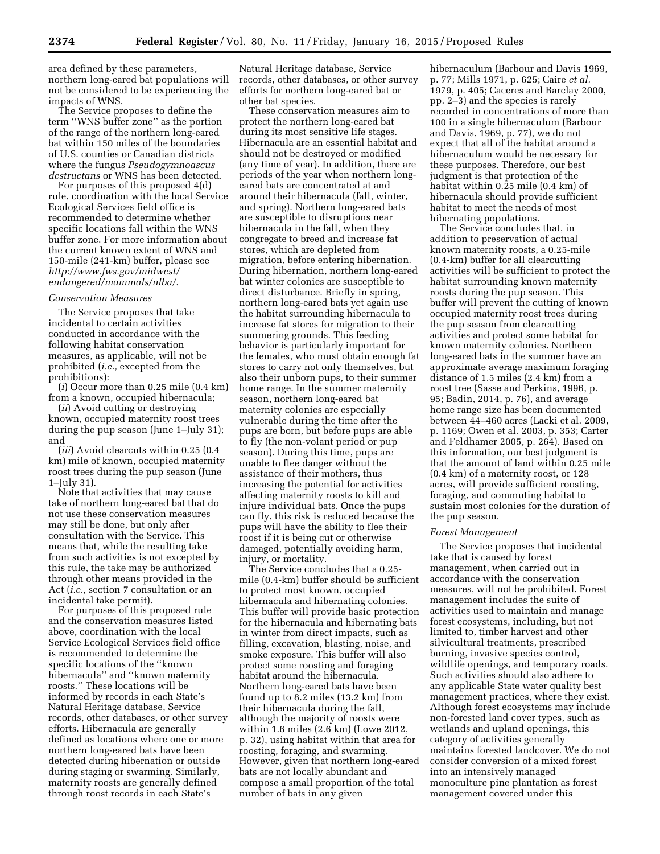area defined by these parameters, northern long-eared bat populations will not be considered to be experiencing the impacts of WNS.

The Service proposes to define the term ''WNS buffer zone'' as the portion of the range of the northern long-eared bat within 150 miles of the boundaries of U.S. counties or Canadian districts where the fungus *Pseudogymnoascus destructans* or WNS has been detected.

For purposes of this proposed 4(d) rule, coordination with the local Service Ecological Services field office is recommended to determine whether specific locations fall within the WNS buffer zone. For more information about the current known extent of WNS and 150-mile (241-km) buffer, please see *[http://www.fws.gov/midwest/](http://www.fws.gov/midwest/endangered/mammals/nlba/) [endangered/mammals/nlba/](http://www.fws.gov/midwest/endangered/mammals/nlba/).* 

#### *Conservation Measures*

The Service proposes that take incidental to certain activities conducted in accordance with the following habitat conservation measures, as applicable, will not be prohibited (*i.e.,* excepted from the prohibitions):

(*i*) Occur more than 0.25 mile (0.4 km) from a known, occupied hibernacula;

(*ii*) Avoid cutting or destroying known, occupied maternity roost trees during the pup season (June 1–July 31); and

(*iii*) Avoid clearcuts within 0.25 (0.4 km) mile of known, occupied maternity roost trees during the pup season (June 1–July 31).

Note that activities that may cause take of northern long-eared bat that do not use these conservation measures may still be done, but only after consultation with the Service. This means that, while the resulting take from such activities is not excepted by this rule, the take may be authorized through other means provided in the Act (*i.e.,* section 7 consultation or an incidental take permit).

For purposes of this proposed rule and the conservation measures listed above, coordination with the local Service Ecological Services field office is recommended to determine the specific locations of the ''known hibernacula'' and ''known maternity roosts.'' These locations will be informed by records in each State's Natural Heritage database, Service records, other databases, or other survey efforts. Hibernacula are generally defined as locations where one or more northern long-eared bats have been detected during hibernation or outside during staging or swarming. Similarly, maternity roosts are generally defined through roost records in each State's

Natural Heritage database, Service records, other databases, or other survey efforts for northern long-eared bat or other bat species.

These conservation measures aim to protect the northern long-eared bat during its most sensitive life stages. Hibernacula are an essential habitat and should not be destroyed or modified (any time of year). In addition, there are periods of the year when northern longeared bats are concentrated at and around their hibernacula (fall, winter, and spring). Northern long-eared bats are susceptible to disruptions near hibernacula in the fall, when they congregate to breed and increase fat stores, which are depleted from migration, before entering hibernation. During hibernation, northern long-eared bat winter colonies are susceptible to direct disturbance. Briefly in spring, northern long-eared bats yet again use the habitat surrounding hibernacula to increase fat stores for migration to their summering grounds. This feeding behavior is particularly important for the females, who must obtain enough fat stores to carry not only themselves, but also their unborn pups, to their summer home range. In the summer maternity season, northern long-eared bat maternity colonies are especially vulnerable during the time after the pups are born, but before pups are able to fly (the non-volant period or pup season). During this time, pups are unable to flee danger without the assistance of their mothers, thus increasing the potential for activities affecting maternity roosts to kill and injure individual bats. Once the pups can fly, this risk is reduced because the pups will have the ability to flee their roost if it is being cut or otherwise damaged, potentially avoiding harm, injury, or mortality.

The Service concludes that a 0.25 mile (0.4-km) buffer should be sufficient to protect most known, occupied hibernacula and hibernating colonies. This buffer will provide basic protection for the hibernacula and hibernating bats in winter from direct impacts, such as filling, excavation, blasting, noise, and smoke exposure. This buffer will also protect some roosting and foraging habitat around the hibernacula. Northern long-eared bats have been found up to 8.2 miles (13.2 km) from their hibernacula during the fall, although the majority of roosts were within 1.6 miles (2.6 km) (Lowe 2012, p. 32), using habitat within that area for roosting, foraging, and swarming. However, given that northern long-eared bats are not locally abundant and compose a small proportion of the total number of bats in any given

hibernaculum (Barbour and Davis 1969, p. 77; Mills 1971, p. 625; Caire *et al.*  1979, p. 405; Caceres and Barclay 2000, pp. 2–3) and the species is rarely recorded in concentrations of more than 100 in a single hibernaculum (Barbour and Davis, 1969, p. 77), we do not expect that all of the habitat around a hibernaculum would be necessary for these purposes. Therefore, our best judgment is that protection of the habitat within 0.25 mile (0.4 km) of hibernacula should provide sufficient habitat to meet the needs of most hibernating populations.

The Service concludes that, in addition to preservation of actual known maternity roosts, a 0.25-mile (0.4-km) buffer for all clearcutting activities will be sufficient to protect the habitat surrounding known maternity roosts during the pup season. This buffer will prevent the cutting of known occupied maternity roost trees during the pup season from clearcutting activities and protect some habitat for known maternity colonies. Northern long-eared bats in the summer have an approximate average maximum foraging distance of 1.5 miles (2.4 km) from a roost tree (Sasse and Perkins, 1996, p. 95; Badin, 2014, p. 76), and average home range size has been documented between 44–460 acres (Lacki et al. 2009, p. 1169; Owen et al. 2003, p. 353; Carter and Feldhamer 2005, p. 264). Based on this information, our best judgment is that the amount of land within 0.25 mile (0.4 km) of a maternity roost, or 128 acres, will provide sufficient roosting, foraging, and commuting habitat to sustain most colonies for the duration of the pup season.

### *Forest Management*

The Service proposes that incidental take that is caused by forest management, when carried out in accordance with the conservation measures, will not be prohibited. Forest management includes the suite of activities used to maintain and manage forest ecosystems, including, but not limited to, timber harvest and other silvicultural treatments, prescribed burning, invasive species control, wildlife openings, and temporary roads. Such activities should also adhere to any applicable State water quality best management practices, where they exist. Although forest ecosystems may include non-forested land cover types, such as wetlands and upland openings, this category of activities generally maintains forested landcover. We do not consider conversion of a mixed forest into an intensively managed monoculture pine plantation as forest management covered under this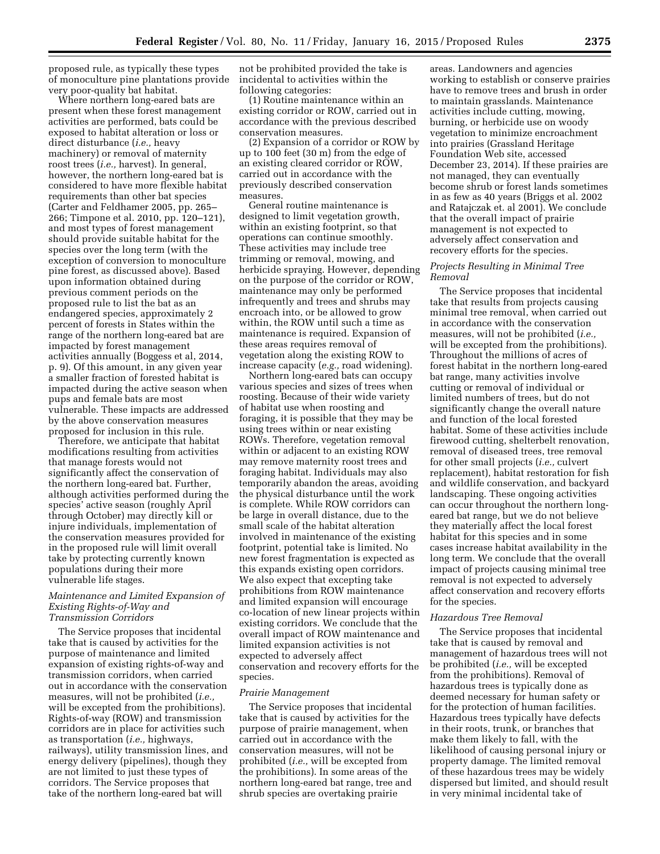proposed rule, as typically these types of monoculture pine plantations provide very poor-quality bat habitat.

Where northern long-eared bats are present when these forest management activities are performed, bats could be exposed to habitat alteration or loss or direct disturbance (*i.e.,* heavy machinery) or removal of maternity roost trees (*i.e.,* harvest). In general, however, the northern long-eared bat is considered to have more flexible habitat requirements than other bat species (Carter and Feldhamer 2005, pp. 265– 266; Timpone et al. 2010, pp. 120–121), and most types of forest management should provide suitable habitat for the species over the long term (with the exception of conversion to monoculture pine forest, as discussed above). Based upon information obtained during previous comment periods on the proposed rule to list the bat as an endangered species, approximately 2 percent of forests in States within the range of the northern long-eared bat are impacted by forest management activities annually (Boggess et al, 2014, p. 9). Of this amount, in any given year a smaller fraction of forested habitat is impacted during the active season when pups and female bats are most vulnerable. These impacts are addressed by the above conservation measures proposed for inclusion in this rule.

Therefore, we anticipate that habitat modifications resulting from activities that manage forests would not significantly affect the conservation of the northern long-eared bat. Further, although activities performed during the species' active season (roughly April through October) may directly kill or injure individuals, implementation of the conservation measures provided for in the proposed rule will limit overall take by protecting currently known populations during their more vulnerable life stages.

### *Maintenance and Limited Expansion of Existing Rights-of-Way and Transmission Corridors*

The Service proposes that incidental take that is caused by activities for the purpose of maintenance and limited expansion of existing rights-of-way and transmission corridors, when carried out in accordance with the conservation measures, will not be prohibited (*i.e.,*  will be excepted from the prohibitions). Rights-of-way (ROW) and transmission corridors are in place for activities such as transportation (*i.e.,* highways, railways), utility transmission lines, and energy delivery (pipelines), though they are not limited to just these types of corridors. The Service proposes that take of the northern long-eared bat will

not be prohibited provided the take is incidental to activities within the following categories:

(1) Routine maintenance within an existing corridor or ROW, carried out in accordance with the previous described conservation measures.

(2) Expansion of a corridor or ROW by up to 100 feet (30 m) from the edge of an existing cleared corridor or ROW, carried out in accordance with the previously described conservation measures.

General routine maintenance is designed to limit vegetation growth, within an existing footprint, so that operations can continue smoothly. These activities may include tree trimming or removal, mowing, and herbicide spraying. However, depending on the purpose of the corridor or ROW, maintenance may only be performed infrequently and trees and shrubs may encroach into, or be allowed to grow within, the ROW until such a time as maintenance is required. Expansion of these areas requires removal of vegetation along the existing ROW to increase capacity (*e.g.,* road widening).

Northern long-eared bats can occupy various species and sizes of trees when roosting. Because of their wide variety of habitat use when roosting and foraging, it is possible that they may be using trees within or near existing ROWs. Therefore, vegetation removal within or adjacent to an existing ROW may remove maternity roost trees and foraging habitat. Individuals may also temporarily abandon the areas, avoiding the physical disturbance until the work is complete. While ROW corridors can be large in overall distance, due to the small scale of the habitat alteration involved in maintenance of the existing footprint, potential take is limited. No new forest fragmentation is expected as this expands existing open corridors. We also expect that excepting take prohibitions from ROW maintenance and limited expansion will encourage co-location of new linear projects within existing corridors. We conclude that the overall impact of ROW maintenance and limited expansion activities is not expected to adversely affect conservation and recovery efforts for the species.

### *Prairie Management*

The Service proposes that incidental take that is caused by activities for the purpose of prairie management, when carried out in accordance with the conservation measures, will not be prohibited (*i.e.,* will be excepted from the prohibitions). In some areas of the northern long-eared bat range, tree and shrub species are overtaking prairie

areas. Landowners and agencies working to establish or conserve prairies have to remove trees and brush in order to maintain grasslands. Maintenance activities include cutting, mowing, burning, or herbicide use on woody vegetation to minimize encroachment into prairies (Grassland Heritage Foundation Web site, accessed December 23, 2014). If these prairies are not managed, they can eventually become shrub or forest lands sometimes in as few as 40 years (Briggs et al. 2002 and Ratajczak et. al 2001). We conclude that the overall impact of prairie management is not expected to adversely affect conservation and recovery efforts for the species.

## *Projects Resulting in Minimal Tree Removal*

The Service proposes that incidental take that results from projects causing minimal tree removal, when carried out in accordance with the conservation measures, will not be prohibited (*i.e.,*  will be excepted from the prohibitions). Throughout the millions of acres of forest habitat in the northern long-eared bat range, many activities involve cutting or removal of individual or limited numbers of trees, but do not significantly change the overall nature and function of the local forested habitat. Some of these activities include firewood cutting, shelterbelt renovation, removal of diseased trees, tree removal for other small projects (*i.e.,* culvert replacement), habitat restoration for fish and wildlife conservation, and backyard landscaping. These ongoing activities can occur throughout the northern longeared bat range, but we do not believe they materially affect the local forest habitat for this species and in some cases increase habitat availability in the long term. We conclude that the overall impact of projects causing minimal tree removal is not expected to adversely affect conservation and recovery efforts for the species.

### *Hazardous Tree Removal*

The Service proposes that incidental take that is caused by removal and management of hazardous trees will not be prohibited (*i.e.,* will be excepted from the prohibitions). Removal of hazardous trees is typically done as deemed necessary for human safety or for the protection of human facilities. Hazardous trees typically have defects in their roots, trunk, or branches that make them likely to fall, with the likelihood of causing personal injury or property damage. The limited removal of these hazardous trees may be widely dispersed but limited, and should result in very minimal incidental take of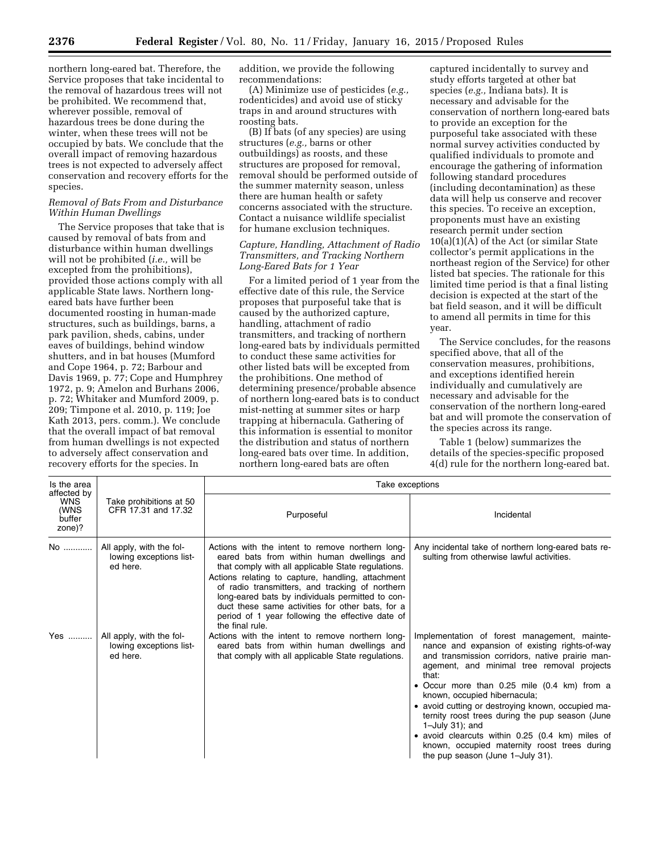northern long-eared bat. Therefore, the Service proposes that take incidental to the removal of hazardous trees will not be prohibited. We recommend that, wherever possible, removal of hazardous trees be done during the winter, when these trees will not be occupied by bats. We conclude that the overall impact of removing hazardous trees is not expected to adversely affect conservation and recovery efforts for the species.

### *Removal of Bats From and Disturbance Within Human Dwellings*

The Service proposes that take that is caused by removal of bats from and disturbance within human dwellings will not be prohibited (*i.e.,* will be excepted from the prohibitions), provided those actions comply with all applicable State laws. Northern longeared bats have further been documented roosting in human-made structures, such as buildings, barns, a park pavilion, sheds, cabins, under eaves of buildings, behind window shutters, and in bat houses (Mumford and Cope 1964, p. 72; Barbour and Davis 1969, p. 77; Cope and Humphrey 1972, p. 9; Amelon and Burhans 2006, p. 72; Whitaker and Mumford 2009, p. 209; Timpone et al. 2010, p. 119; Joe Kath 2013, pers. comm.). We conclude that the overall impact of bat removal from human dwellings is not expected to adversely affect conservation and recovery efforts for the species. In

addition, we provide the following recommendations:

(A) Minimize use of pesticides (*e.g.,*  rodenticides) and avoid use of sticky traps in and around structures with roosting bats.

(B) If bats (of any species) are using structures (*e.g.,* barns or other outbuildings) as roosts, and these structures are proposed for removal, removal should be performed outside of the summer maternity season, unless there are human health or safety concerns associated with the structure. Contact a nuisance wildlife specialist for humane exclusion techniques.

### *Capture, Handling, Attachment of Radio Transmitters, and Tracking Northern Long-Eared Bats for 1 Year*

For a limited period of 1 year from the effective date of this rule, the Service proposes that purposeful take that is caused by the authorized capture, handling, attachment of radio transmitters, and tracking of northern long-eared bats by individuals permitted to conduct these same activities for other listed bats will be excepted from the prohibitions. One method of determining presence/probable absence of northern long-eared bats is to conduct mist-netting at summer sites or harp trapping at hibernacula. Gathering of this information is essential to monitor the distribution and status of northern long-eared bats over time. In addition, northern long-eared bats are often

captured incidentally to survey and study efforts targeted at other bat species (*e.g.,* Indiana bats). It is necessary and advisable for the conservation of northern long-eared bats to provide an exception for the purposeful take associated with these normal survey activities conducted by qualified individuals to promote and encourage the gathering of information following standard procedures (including decontamination) as these data will help us conserve and recover this species. To receive an exception, proponents must have an existing research permit under section 10(a)(1)(A) of the Act (or similar State collector's permit applications in the northeast region of the Service) for other listed bat species. The rationale for this limited time period is that a final listing decision is expected at the start of the bat field season, and it will be difficult to amend all permits in time for this year.

The Service concludes, for the reasons specified above, that all of the conservation measures, prohibitions, and exceptions identified herein individually and cumulatively are necessary and advisable for the conservation of the northern long-eared bat and will promote the conservation of the species across its range.

Table 1 (below) summarizes the details of the species-specific proposed 4(d) rule for the northern long-eared bat.

| Is the area<br>affected by<br><b>WNS</b><br>(WNS<br>buffer<br>zone)? | Take prohibitions at 50<br>CFR 17.31 and 17.32                  | Take exceptions                                                                                                                                                                                                                                                                                                                                                                                                                             |                                                                                                                                                                                                                                                                                                                                                                                                                                                                                                                                                             |  |  |
|----------------------------------------------------------------------|-----------------------------------------------------------------|---------------------------------------------------------------------------------------------------------------------------------------------------------------------------------------------------------------------------------------------------------------------------------------------------------------------------------------------------------------------------------------------------------------------------------------------|-------------------------------------------------------------------------------------------------------------------------------------------------------------------------------------------------------------------------------------------------------------------------------------------------------------------------------------------------------------------------------------------------------------------------------------------------------------------------------------------------------------------------------------------------------------|--|--|
|                                                                      |                                                                 | Purposeful                                                                                                                                                                                                                                                                                                                                                                                                                                  | Incidental                                                                                                                                                                                                                                                                                                                                                                                                                                                                                                                                                  |  |  |
| No                                                                   | All apply, with the fol-<br>lowing exceptions list-<br>ed here. | Actions with the intent to remove northern long-<br>eared bats from within human dwellings and<br>that comply with all applicable State regulations.<br>Actions relating to capture, handling, attachment<br>of radio transmitters, and tracking of northern<br>long-eared bats by individuals permitted to con-<br>duct these same activities for other bats, for a<br>period of 1 year following the effective date of<br>the final rule. | Any incidental take of northern long-eared bats re-<br>sulting from otherwise lawful activities.                                                                                                                                                                                                                                                                                                                                                                                                                                                            |  |  |
| Yes                                                                  | All apply, with the fol-<br>lowing exceptions list-<br>ed here. | Actions with the intent to remove northern long-<br>eared bats from within human dwellings and<br>that comply with all applicable State regulations.                                                                                                                                                                                                                                                                                        | Implementation of forest management, mainte-<br>nance and expansion of existing rights-of-way<br>and transmission corridors, native prairie man-<br>agement, and minimal tree removal projects<br>that:<br>• Occur more than 0.25 mile (0.4 km) from a<br>known, occupied hibernacula;<br>• avoid cutting or destroying known, occupied ma-<br>ternity roost trees during the pup season (June<br>$1$ -July 31); and<br>• avoid clearcuts within 0.25 (0.4 km) miles of<br>known, occupied maternity roost trees during<br>the pup season (June 1-July 31). |  |  |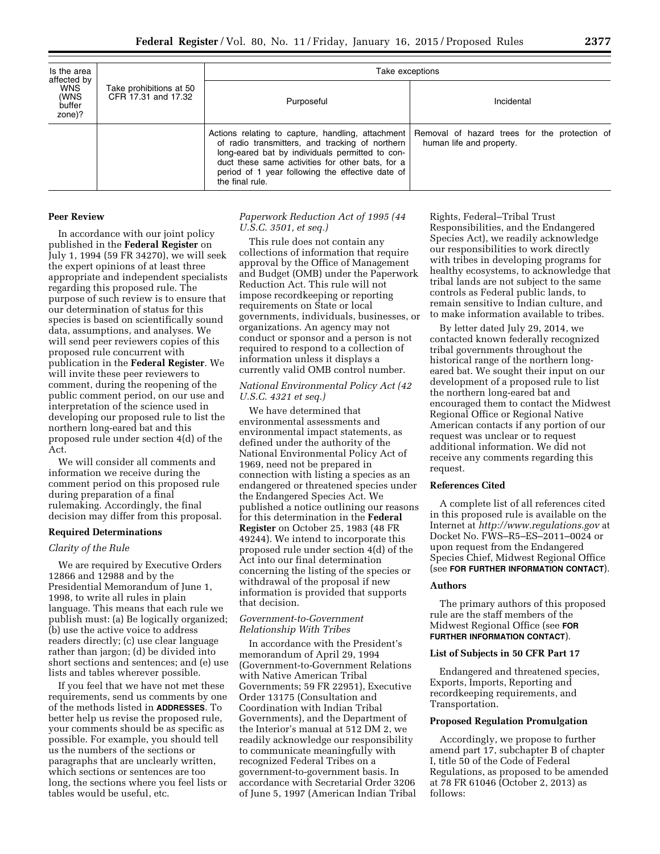| Is the area<br>affected by<br><b>WNS</b><br>(WNS<br>buffer<br>zone)? | Take prohibitions at 50<br>CFR 17.31 and 17.32 | Take exceptions                                                                                                                                                                                                               |                                                                                                                               |  |  |  |
|----------------------------------------------------------------------|------------------------------------------------|-------------------------------------------------------------------------------------------------------------------------------------------------------------------------------------------------------------------------------|-------------------------------------------------------------------------------------------------------------------------------|--|--|--|
|                                                                      |                                                | Purposeful                                                                                                                                                                                                                    | Incidental                                                                                                                    |  |  |  |
|                                                                      |                                                | of radio transmitters, and tracking of northern<br>long-eared bat by individuals permitted to con-<br>duct these same activities for other bats, for a<br>period of 1 year following the effective date of<br>the final rule. | Actions relating to capture, handling, attachment   Removal of hazard trees for the protection of<br>human life and property. |  |  |  |

#### **Peer Review**

In accordance with our joint policy published in the **Federal Register** on July 1, 1994 (59 FR 34270), we will seek the expert opinions of at least three appropriate and independent specialists regarding this proposed rule. The purpose of such review is to ensure that our determination of status for this species is based on scientifically sound data, assumptions, and analyses. We will send peer reviewers copies of this proposed rule concurrent with publication in the **Federal Register**. We will invite these peer reviewers to comment, during the reopening of the public comment period, on our use and interpretation of the science used in developing our proposed rule to list the northern long-eared bat and this proposed rule under section 4(d) of the Act.

We will consider all comments and information we receive during the comment period on this proposed rule during preparation of a final rulemaking. Accordingly, the final decision may differ from this proposal.

#### **Required Determinations**

### *Clarity of the Rule*

We are required by Executive Orders 12866 and 12988 and by the Presidential Memorandum of June 1, 1998, to write all rules in plain language. This means that each rule we publish must: (a) Be logically organized; (b) use the active voice to address readers directly; (c) use clear language rather than jargon; (d) be divided into short sections and sentences; and (e) use lists and tables wherever possible.

If you feel that we have not met these requirements, send us comments by one of the methods listed in **ADDRESSES**. To better help us revise the proposed rule, your comments should be as specific as possible. For example, you should tell us the numbers of the sections or paragraphs that are unclearly written, which sections or sentences are too long, the sections where you feel lists or tables would be useful, etc.

# *Paperwork Reduction Act of 1995 (44 U.S.C. 3501, et seq.)*

This rule does not contain any collections of information that require approval by the Office of Management and Budget (OMB) under the Paperwork Reduction Act. This rule will not impose recordkeeping or reporting requirements on State or local governments, individuals, businesses, or organizations. An agency may not conduct or sponsor and a person is not required to respond to a collection of information unless it displays a currently valid OMB control number.

# *National Environmental Policy Act (42 U.S.C. 4321 et seq.)*

We have determined that environmental assessments and environmental impact statements, as defined under the authority of the National Environmental Policy Act of 1969, need not be prepared in connection with listing a species as an endangered or threatened species under the Endangered Species Act. We published a notice outlining our reasons for this determination in the **Federal Register** on October 25, 1983 (48 FR 49244). We intend to incorporate this proposed rule under section 4(d) of the Act into our final determination concerning the listing of the species or withdrawal of the proposal if new information is provided that supports that decision.

# *Government-to-Government Relationship With Tribes*

In accordance with the President's memorandum of April 29, 1994 (Government-to-Government Relations with Native American Tribal Governments; 59 FR 22951), Executive Order 13175 (Consultation and Coordination with Indian Tribal Governments), and the Department of the Interior's manual at 512 DM 2, we readily acknowledge our responsibility to communicate meaningfully with recognized Federal Tribes on a government-to-government basis. In accordance with Secretarial Order 3206 of June 5, 1997 (American Indian Tribal

Rights, Federal–Tribal Trust Responsibilities, and the Endangered Species Act), we readily acknowledge our responsibilities to work directly with tribes in developing programs for healthy ecosystems, to acknowledge that tribal lands are not subject to the same controls as Federal public lands, to remain sensitive to Indian culture, and to make information available to tribes.

By letter dated July 29, 2014, we contacted known federally recognized tribal governments throughout the historical range of the northern longeared bat. We sought their input on our development of a proposed rule to list the northern long-eared bat and encouraged them to contact the Midwest Regional Office or Regional Native American contacts if any portion of our request was unclear or to request additional information. We did not receive any comments regarding this request.

### **References Cited**

A complete list of all references cited in this proposed rule is available on the Internet at *<http://www.regulations.gov>* at Docket No. FWS–R5–ES–2011–0024 or upon request from the Endangered Species Chief, Midwest Regional Office (see **FOR FURTHER INFORMATION CONTACT**).

# **Authors**

The primary authors of this proposed rule are the staff members of the Midwest Regional Office (see **FOR FURTHER INFORMATION CONTACT**).

#### **List of Subjects in 50 CFR Part 17**

Endangered and threatened species, Exports, Imports, Reporting and recordkeeping requirements, and Transportation.

#### **Proposed Regulation Promulgation**

Accordingly, we propose to further amend part 17, subchapter B of chapter I, title 50 of the Code of Federal Regulations, as proposed to be amended at 78 FR 61046 (October 2, 2013) as follows: